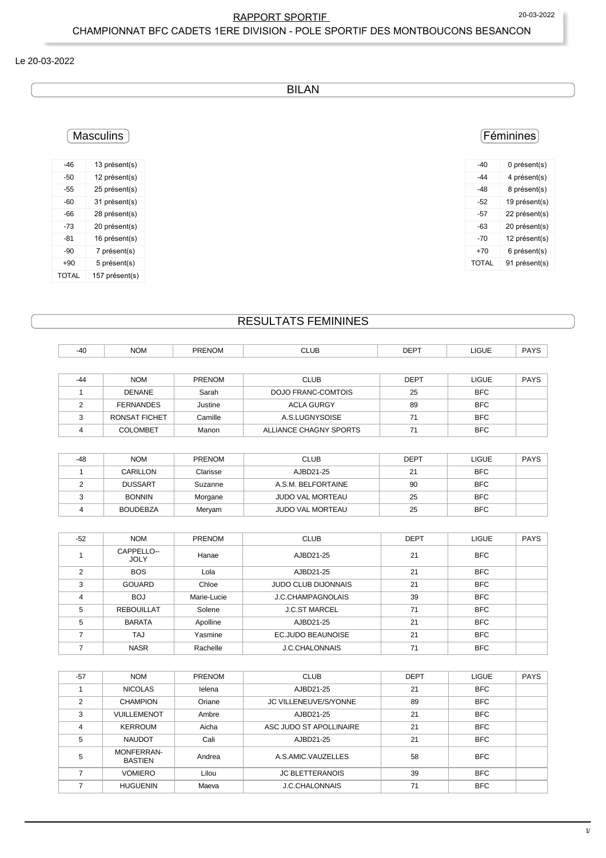## RAPPORT SPORTIF 20-03-2022

CHAMPIONNAT BFC CADETS 1ERE DIVISION - POLE SPORTIF DES MONTBOUCONS BESANCON

#### Le 20-03-2022

BILAN

# Féminines

| -40   | 0 présent(s)  |
|-------|---------------|
| -44   | 4 présent(s)  |
| -48   | 8 présent(s)  |
| -52   | 19 présent(s) |
| -57   | 22 présent(s) |
| -63   | 20 présent(s) |
| -70   | 12 présent(s) |
| $+70$ | 6 présent(s)  |
| TOTAL | 91 présent(s) |

# **Masculins**

| -46          | 13 présent(s)  |
|--------------|----------------|
| -50          | 12 présent(s)  |
| -55          | 25 présent(s)  |
| -60          | 31 présent(s)  |
| -66          | 28 présent(s)  |
| -73          | 20 présent(s)  |
| -81          | 16 présent(s)  |
| $-90$        | 7 présent(s)   |
| $+90$        | 5 présent(s)   |
| <b>TOTAL</b> | 157 présent(s) |

# RESULTATS FEMININES

| <b>COLOMBET</b>      | Manon         | ALLIANCE CHAGNY SPORTS    | 71          | <b>BFC</b>   |             |
|----------------------|---------------|---------------------------|-------------|--------------|-------------|
| <b>RONSAT FICHET</b> | Camille       | A.S.LUGNYSOISE            | 71          | <b>BFC</b>   |             |
| <b>FERNANDES</b>     | Justine       | <b>ACLA GURGY</b>         | 89          | <b>BFC</b>   |             |
| <b>DENANE</b>        | Sarah         | <b>DOJO FRANC-COMTOIS</b> | 25          | <b>BFC</b>   |             |
| <b>NOM</b>           | <b>PRENOM</b> | <b>CLUB</b>               | <b>DEPT</b> | <b>LIGUE</b> | <b>PAYS</b> |
|                      |               |                           |             |              |             |

| $-48$ | <b>NOM</b>      | <b>PRENOM</b> | <b>CLUB</b>             | DEPT | LIGUE      | <b>PAYS</b> |  |
|-------|-----------------|---------------|-------------------------|------|------------|-------------|--|
|       | CARILLON        | Clarisse      | AJBD21-25               | 21   | <b>BFC</b> |             |  |
|       | <b>DUSSART</b>  | Suzanne       | A.S.M. BELFORTAINE      | 90   | <b>BFC</b> |             |  |
|       | <b>BONNIN</b>   | Morgane       | <b>JUDO VAL MORTEAU</b> | 25   | <b>BFC</b> |             |  |
|       | <b>BOUDEBZA</b> | Meryam        | <b>JUDO VAL MORTEAU</b> | 25   | <b>BFC</b> |             |  |

| $-52$ | <b>NOM</b>                | <b>PRENOM</b> | <b>CLUB</b>                | <b>DEPT</b> | <b>LIGUE</b> | <b>PAYS</b> |
|-------|---------------------------|---------------|----------------------------|-------------|--------------|-------------|
|       | CAPPELLO--<br><b>JOLY</b> | Hanae         | AJBD21-25                  | 21          | <b>BFC</b>   |             |
| 2     | <b>BOS</b>                | Lola          | AJBD21-25                  | 21          | <b>BFC</b>   |             |
| 3     | <b>GOUARD</b>             | Chloe         | <b>JUDO CLUB DIJONNAIS</b> | 21          | <b>BFC</b>   |             |
| 4     | <b>BOJ</b>                | Marie-Lucie   | J.C.CHAMPAGNOLAIS          | 39          | <b>BFC</b>   |             |
| 5     | <b>REBOUILLAT</b>         | Solene        | <b>J.C.ST MARCEL</b>       | 71          | <b>BFC</b>   |             |
| 5     | <b>BARATA</b>             | Apolline      | AJBD21-25                  | 21          | <b>BFC</b>   |             |
|       | TAJ                       | Yasmine       | <b>EC.JUDO BEAUNOISE</b>   | 21          | <b>BFC</b>   |             |
|       | <b>NASR</b>               | Rachelle      | <b>J.C.CHALONNAIS</b>      | 71          | <b>BFC</b>   |             |

| $-57$ | <b>NOM</b>                   | PRENOM | <b>CLUB</b>             | <b>DEPT</b> | <b>LIGUE</b> | <b>PAYS</b> |
|-------|------------------------------|--------|-------------------------|-------------|--------------|-------------|
|       | <b>NICOLAS</b>               | lelena | AJBD21-25               | 21          | <b>BFC</b>   |             |
| 2     | <b>CHAMPION</b>              | Oriane | JC VILLENEUVE/S/YONNE   | 89          | <b>BFC</b>   |             |
| 3     | VUILLEMENOT                  | Ambre  | AJBD21-25               | 21          | <b>BFC</b>   |             |
| 4     | <b>KERROUM</b>               | Aicha  | ASC JUDO ST APOLLINAIRE | 21          | <b>BFC</b>   |             |
| 5     | <b>NAUDOT</b>                | Cali   | AJBD21-25               | 21          | <b>BFC</b>   |             |
| 5     | MONFERRAN-<br><b>BASTIEN</b> | Andrea | A.S.AMIC.VAUZELLES      | 58          | <b>BFC</b>   |             |
|       | <b>VOMIERO</b>               | Lilou  | <b>JC BLETTERANOIS</b>  | 39          | <b>BFC</b>   |             |
|       | <b>HUGUENIN</b>              | Maeva  | <b>J.C.CHALONNAIS</b>   | 71          | <b>BFC</b>   |             |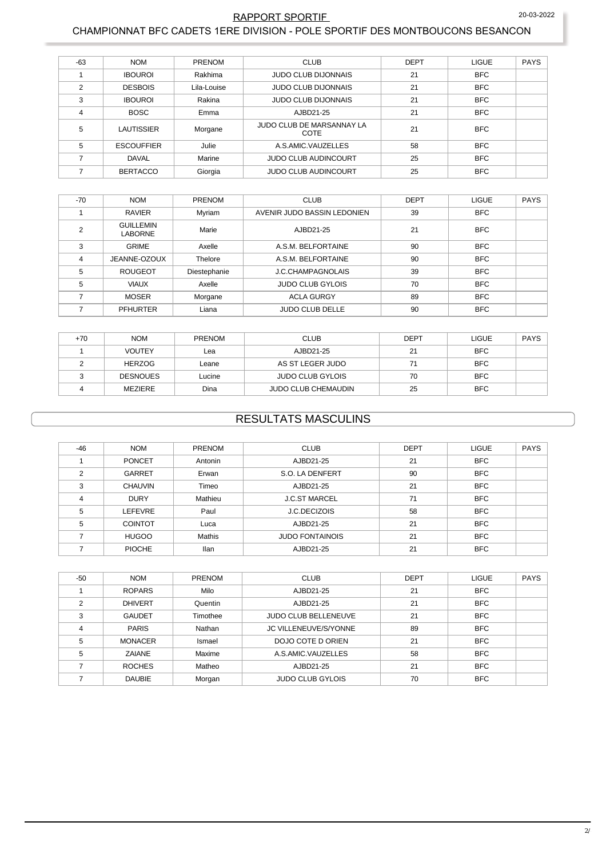#### 20-03-2022

### RAPPORT SPORTIF

#### CHAMPIONNAT BFC CADETS 1ERE DIVISION - POLE SPORTIF DES MONTBOUCONS BESANCON

| $-63$ | <b>NOM</b>        | <b>PRENOM</b> | <b>CLUB</b>                       | <b>DEPT</b> | <b>LIGUE</b> | <b>PAYS</b> |
|-------|-------------------|---------------|-----------------------------------|-------------|--------------|-------------|
|       | <b>IBOUROI</b>    | Rakhima       | <b>JUDO CLUB DIJONNAIS</b>        | 21          | <b>BFC</b>   |             |
| 2     | <b>DESBOIS</b>    | Lila-Louise   | <b>JUDO CLUB DIJONNAIS</b>        | 21          | <b>BFC</b>   |             |
| 3     | <b>IBOUROI</b>    | Rakina        | <b>JUDO CLUB DIJONNAIS</b>        | 21          | <b>BFC</b>   |             |
| 4     | <b>BOSC</b>       | Emma          | AJBD21-25                         | 21          | <b>BFC</b>   |             |
| 5     | LAUTISSIER        | Morgane       | JUDO CLUB DE MARSANNAY LA<br>COTE | 21          | <b>BFC</b>   |             |
| 5     | <b>ESCOUFFIER</b> | Julie         | A.S.AMIC.VAUZELLES                | 58          | <b>BFC</b>   |             |
|       | <b>DAVAL</b>      | Marine        | <b>JUDO CLUB AUDINCOURT</b>       | 25          | <b>BFC</b>   |             |
|       | <b>BERTACCO</b>   | Giorgia       | <b>JUDO CLUB AUDINCOURT</b>       | 25          | <b>BFC</b>   |             |

| $-70$ | <b>NOM</b>                         | <b>PRENOM</b> | <b>CLUB</b>                 | <b>DEPT</b> | <b>LIGUE</b> | <b>PAYS</b> |
|-------|------------------------------------|---------------|-----------------------------|-------------|--------------|-------------|
|       | <b>RAVIER</b>                      | Myriam        | AVENIR JUDO BASSIN LEDONIEN | 39          | <b>BFC</b>   |             |
| ◠     | <b>GUILLEMIN</b><br><b>LABORNE</b> | Marie         | AJBD21-25                   | 21          | <b>BFC</b>   |             |
| 3     | <b>GRIME</b>                       | Axelle        | A.S.M. BELFORTAINE          | 90          | <b>BFC</b>   |             |
| 4     | JEANNE-OZOUX                       | Thelore       | A.S.M. BELFORTAINE          | 90          | <b>BFC</b>   |             |
| 5     | <b>ROUGEOT</b>                     | Diestephanie  | J.C.CHAMPAGNOLAIS           | 39          | <b>BFC</b>   |             |
| 5     | <b>VIAUX</b>                       | Axelle        | <b>JUDO CLUB GYLOIS</b>     | 70          | <b>BFC</b>   |             |
|       | <b>MOSER</b>                       | Morgane       | <b>ACLA GURGY</b>           | 89          | <b>BFC</b>   |             |
|       | <b>PFHURTER</b>                    | Liana         | <b>JUDO CLUB DELLE</b>      | 90          | <b>BFC</b>   |             |

| $+70$ | <b>NOM</b>      | <b>PRENOM</b> | <b>CLUB</b>                | <b>DEPT</b> | LIGUE      | <b>PAYS</b> |
|-------|-----------------|---------------|----------------------------|-------------|------------|-------------|
|       | <b>VOUTEY</b>   | ∟ea           | AJBD21-25                  | 21          | <b>BFC</b> |             |
|       | <b>HERZOG</b>   | Leane         | AS ST LEGER JUDO           | 71          | <b>BFC</b> |             |
|       | <b>DESNOUES</b> | Lucine        | <b>JUDO CLUB GYLOIS</b>    | 70          | <b>BFC</b> |             |
|       | MEZIERE         | Dina          | <b>JUDO CLUB CHEMAUDIN</b> | 25          | <b>BFC</b> |             |

# **RESULTATS MASCULINS**

| $-46$          | <b>NOM</b>     | <b>PRENOM</b> | <b>CLUB</b>            | <b>DEPT</b> | <b>LIGUE</b> | <b>PAYS</b> |
|----------------|----------------|---------------|------------------------|-------------|--------------|-------------|
|                | <b>PONCET</b>  | Antonin       | AJBD21-25              | 21          | <b>BFC</b>   |             |
| $\mathfrak{p}$ | <b>GARRET</b>  | Erwan         | S.O. LA DENFERT        | 90          | <b>BFC</b>   |             |
| 3              | <b>CHAUVIN</b> | Timeo         | AJBD21-25              | 21          | <b>BFC</b>   |             |
| 4              | <b>DURY</b>    | Mathieu       | <b>J.C.ST MARCEL</b>   | 71          | <b>BFC</b>   |             |
| 5              | <b>LEFEVRE</b> | Paul          | J.C.DECIZOIS           | 58          | <b>BFC</b>   |             |
| 5              | <b>COINTOT</b> | Luca          | AJBD21-25              | 21          | <b>BFC</b>   |             |
|                | <b>HUGOO</b>   | Mathis        | <b>JUDO FONTAINOIS</b> | 21          | <b>BFC</b>   |             |
|                | <b>PIOCHE</b>  | llan          | AJBD21-25              | 21          | <b>BFC</b>   |             |

| -50           | <b>NOM</b>     | <b>PRENOM</b> | <b>CLUB</b>                 | <b>DEPT</b> | <b>LIGUE</b> | <b>PAYS</b> |
|---------------|----------------|---------------|-----------------------------|-------------|--------------|-------------|
|               | <b>ROPARS</b>  | Milo          | AJBD21-25                   | 21          | <b>BFC</b>   |             |
| $\mathcal{P}$ | <b>DHIVERT</b> | Quentin       | AJBD21-25                   | 21          | <b>BFC</b>   |             |
| 3             | <b>GAUDET</b>  | Timothee      | <b>JUDO CLUB BELLENEUVE</b> | 21          | <b>BFC</b>   |             |
| 4             | <b>PARIS</b>   | Nathan        | JC VILLENEUVE/S/YONNE       | 89          | <b>BFC</b>   |             |
| 5             | <b>MONACER</b> | Ismael        | DOJO COTE D ORIEN           | 21          | <b>BFC</b>   |             |
| 5             | ZAIANE         | Maxime        | A.S.AMIC.VAUZELLES          | 58          | <b>BFC</b>   |             |
|               | <b>ROCHES</b>  | Matheo        | AJBD21-25                   | 21          | <b>BFC</b>   |             |
|               | <b>DAUBIE</b>  | Morgan        | <b>JUDO CLUB GYLOIS</b>     | 70          | <b>BFC</b>   |             |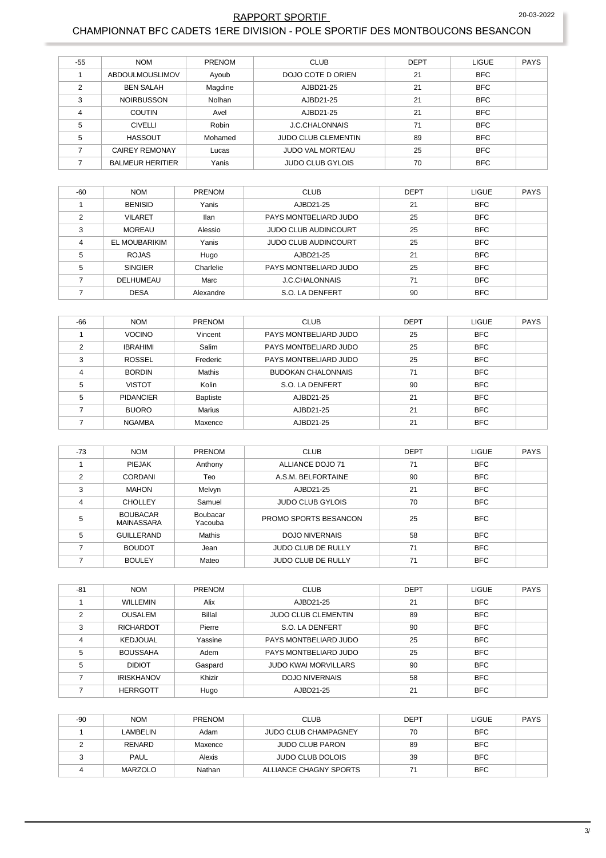# RAPPORT SPORTIF 20-03-2022

#### CHAMPIONNAT BFC CADETS 1ERE DIVISION - POLE SPORTIF DES MONTBOUCONS BESANCON

| $-55$          | <b>NOM</b>              | <b>PRENOM</b> | <b>CLUB</b>                | <b>DEPT</b> | <b>LIGUE</b> | <b>PAYS</b> |
|----------------|-------------------------|---------------|----------------------------|-------------|--------------|-------------|
|                | <b>ABDOULMOUSLIMOV</b>  | Ayoub         | DOJO COTE D ORIEN          | 21          | <b>BFC</b>   |             |
| $\mathfrak{p}$ | <b>BEN SALAH</b>        | Magdine       | AJBD21-25                  | 21          | <b>BFC</b>   |             |
| 3              | <b>NOIRBUSSON</b>       | Nolhan        | AJBD21-25                  | 21          | <b>BFC</b>   |             |
| $\overline{4}$ | <b>COUTIN</b>           | Avel          | AJBD21-25                  | 21          | <b>BFC</b>   |             |
| 5              | <b>CIVELLI</b>          | Robin         | <b>J.C.CHALONNAIS</b>      | 71          | <b>BFC</b>   |             |
| 5              | <b>HASSOUT</b>          | Mohamed       | <b>JUDO CLUB CLEMENTIN</b> | 89          | <b>BFC</b>   |             |
|                | <b>CAIREY REMONAY</b>   | Lucas         | <b>JUDO VAL MORTEAU</b>    | 25          | <b>BFC</b>   |             |
|                | <b>BALMEUR HERITIER</b> | Yanis         | <b>JUDO CLUB GYLOIS</b>    | 70          | <b>BFC</b>   |             |

| $-60$ | <b>NOM</b>     | <b>PRENOM</b> | <b>CLUB</b>                 | <b>DEPT</b> | <b>LIGUE</b> | <b>PAYS</b> |
|-------|----------------|---------------|-----------------------------|-------------|--------------|-------------|
|       | <b>BENISID</b> | Yanis         | AJBD21-25                   | 21          | <b>BFC</b>   |             |
| C     | <b>VILARET</b> | <b>Ilan</b>   | PAYS MONTBELIARD JUDO       | 25          | <b>BFC</b>   |             |
| 3     | <b>MOREAU</b>  | Alessio       | <b>JUDO CLUB AUDINCOURT</b> | 25          | <b>BFC</b>   |             |
| 4     | EL MOUBARIKIM  | Yanis         | <b>JUDO CLUB AUDINCOURT</b> | 25          | <b>BFC</b>   |             |
| 5     | <b>ROJAS</b>   | Hugo          | AJBD21-25                   | 21          | <b>BFC</b>   |             |
| 5     | <b>SINGIER</b> | Charlelie     | PAYS MONTBELIARD JUDO       | 25          | <b>BFC</b>   |             |
|       | DELHUMEAU      | Marc          | <b>J.C.CHALONNAIS</b>       | 71          | <b>BFC</b>   |             |
|       | <b>DESA</b>    | Alexandre     | S.O. LA DENFERT             | 90          | <b>BFC</b>   |             |

| $-66$ | <b>NOM</b>       | <b>PRENOM</b> | <b>CLUB</b>               | <b>DEPT</b> | <b>LIGUE</b> | <b>PAYS</b> |
|-------|------------------|---------------|---------------------------|-------------|--------------|-------------|
|       | <b>VOCINO</b>    | Vincent       | PAYS MONTBELIARD JUDO     | 25          | <b>BFC</b>   |             |
| C     | <b>IBRAHIMI</b>  | Salim         | PAYS MONTBELIARD JUDO     | 25          | <b>BFC</b>   |             |
| 3     | <b>ROSSEL</b>    | Frederic      | PAYS MONTBELIARD JUDO     | 25          | <b>BFC</b>   |             |
| 4     | <b>BORDIN</b>    | Mathis        | <b>BUDOKAN CHALONNAIS</b> | 71          | <b>BFC</b>   |             |
| 5     | <b>VISTOT</b>    | Kolin         | S.O. LA DENFERT           | 90          | <b>BFC</b>   |             |
| 5     | <b>PIDANCIER</b> | Baptiste      | AJBD21-25                 | 21          | <b>BFC</b>   |             |
|       | <b>BUORO</b>     | Marius        | AJBD21-25                 | 21          | <b>BFC</b>   |             |
|       | <b>NGAMBA</b>    | Maxence       | AJBD21-25                 | 21          | <b>BFC</b>   |             |

| $-73$ | <b>NOM</b>                           | PRENOM              | <b>CLUB</b>               | <b>DEPT</b> | <b>LIGUE</b> | <b>PAYS</b> |
|-------|--------------------------------------|---------------------|---------------------------|-------------|--------------|-------------|
|       | PIEJAK                               | Anthony             | ALLIANCE DOJO 71          | 71          | <b>BFC</b>   |             |
| ◠     | <b>CORDANI</b>                       | Teo                 | A.S.M. BELFORTAINE        | 90          | <b>BFC</b>   |             |
| 3     | <b>MAHON</b>                         | Melvyn              | AJBD21-25                 | 21          | <b>BFC</b>   |             |
| 4     | <b>CHOLLEY</b>                       | Samuel              | <b>JUDO CLUB GYLOIS</b>   | 70          | <b>BFC</b>   |             |
| 5     | <b>BOUBACAR</b><br><b>MAINASSARA</b> | Boubacar<br>Yacouba | PROMO SPORTS BESANCON     | 25          | <b>BFC</b>   |             |
| 5     | <b>GUILLERAND</b>                    | Mathis              | <b>DOJO NIVERNAIS</b>     | 58          | <b>BFC</b>   |             |
|       | <b>BOUDOT</b>                        | Jean                | <b>JUDO CLUB DE RULLY</b> | 71          | <b>BFC</b>   |             |
|       | <b>BOULEY</b>                        | Mateo               | <b>JUDO CLUB DE RULLY</b> | 71          | <b>BFC</b>   |             |

| $-81$ | <b>NOM</b>        | <b>PRENOM</b> | <b>CLUB</b>                 | <b>DEPT</b> | <b>LIGUE</b> | <b>PAYS</b> |
|-------|-------------------|---------------|-----------------------------|-------------|--------------|-------------|
|       | <b>WILLEMIN</b>   | Alix          | AJBD21-25                   | 21          | <b>BFC</b>   |             |
|       | <b>OUSALEM</b>    | <b>Billal</b> | <b>JUDO CLUB CLEMENTIN</b>  | 89          | <b>BFC</b>   |             |
|       | <b>RICHARDOT</b>  | Pierre        | S.O. LA DENFERT             | 90          | <b>BFC</b>   |             |
|       | <b>KEDJOUAL</b>   | Yassine       | PAYS MONTBELIARD JUDO       | 25          | <b>BFC</b>   |             |
| 5     | <b>BOUSSAHA</b>   | Adem          | PAYS MONTBELIARD JUDO       | 25          | <b>BFC</b>   |             |
| 5     | <b>DIDIOT</b>     | Gaspard       | <b>JUDO KWAI MORVILLARS</b> | 90          | <b>BFC</b>   |             |
|       | <b>IRISKHANOV</b> | Khizir        | <b>DOJO NIVERNAIS</b>       | 58          | <b>BFC</b>   |             |
|       | <b>HERRGOTT</b>   | Hugo          | AJBD21-25                   | 21          | <b>BFC</b>   |             |

| $-90$ | <b>NOM</b>  | PRENOM  | <b>CLUB</b>                 | <b>DEPT</b> | <b>LIGUE</b> | <b>PAYS</b> |
|-------|-------------|---------|-----------------------------|-------------|--------------|-------------|
|       | LAMBELIN    | Adam    | <b>JUDO CLUB CHAMPAGNEY</b> | 70          | <b>BFC</b>   |             |
|       | RENARD      | Maxence | <b>JUDO CLUB PARON</b>      | 89          | <b>BFC</b>   |             |
|       | <b>PAUL</b> | Alexis  | <b>JUDO CLUB DOLOIS</b>     | 39          | <b>BFC</b>   |             |
|       | MARZOLO     | Nathan  | ALLIANCE CHAGNY SPORTS      |             | <b>BFC</b>   |             |